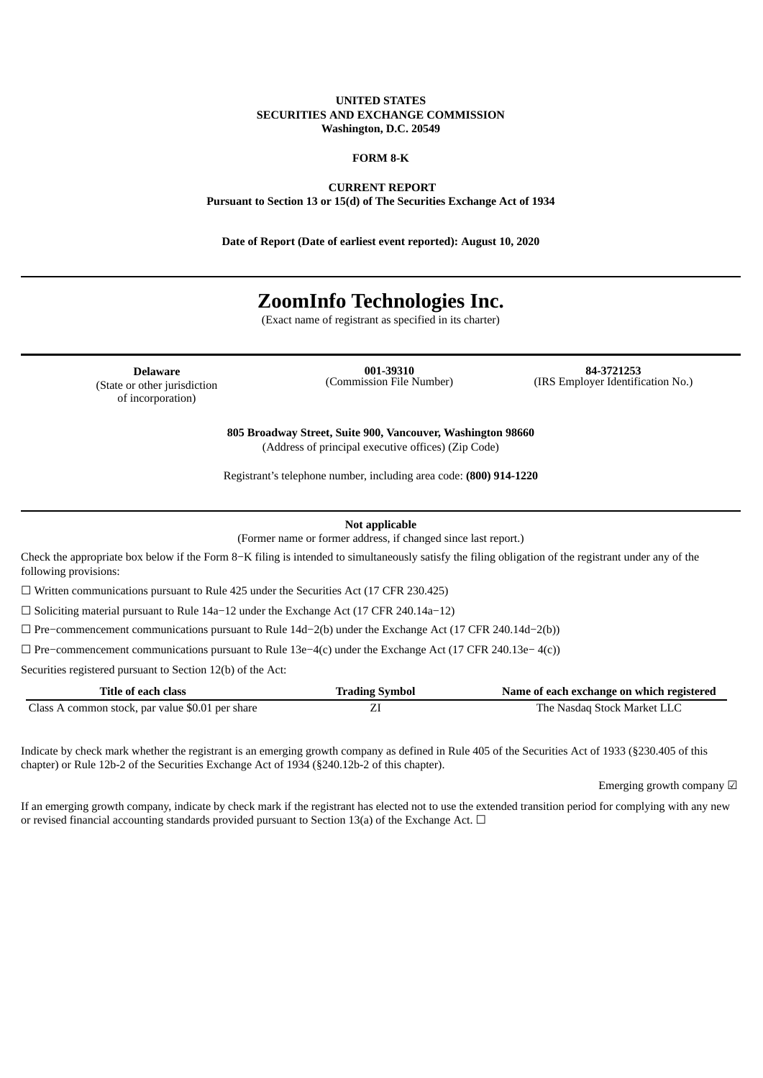#### **UNITED STATES SECURITIES AND EXCHANGE COMMISSION Washington, D.C. 20549**

#### **FORM 8-K**

**CURRENT REPORT**

**Pursuant to Section 13 or 15(d) of The Securities Exchange Act of 1934**

**Date of Report (Date of earliest event reported): August 10, 2020**

# **ZoomInfo Technologies Inc.**

(Exact name of registrant as specified in its charter)

**Delaware** (State or other jurisdiction of incorporation)

**001-39310** (Commission File Number)

**84-3721253** (IRS Employer Identification No.)

**805 Broadway Street, Suite 900, Vancouver, Washington 98660** (Address of principal executive offices) (Zip Code)

Registrant's telephone number, including area code: **(800) 914-1220**

**Not applicable**

(Former name or former address, if changed since last report.)

Check the appropriate box below if the Form 8−K filing is intended to simultaneously satisfy the filing obligation of the registrant under any of the following provisions:

☐ Written communications pursuant to Rule 425 under the Securities Act (17 CFR 230.425)

☐ Soliciting material pursuant to Rule 14a−12 under the Exchange Act (17 CFR 240.14a−12)

☐ Pre−commencement communications pursuant to Rule 14d−2(b) under the Exchange Act (17 CFR 240.14d−2(b))

☐ Pre−commencement communications pursuant to Rule 13e−4(c) under the Exchange Act (17 CFR 240.13e− 4(c))

Securities registered pursuant to Section 12(b) of the Act:

| Title of each class                              | <b>Trading Symbol</b> | Name of each exchange on which registered |
|--------------------------------------------------|-----------------------|-------------------------------------------|
| Class A common stock, par value \$0.01 per share |                       | The Nasdag Stock Market LLC               |

Indicate by check mark whether the registrant is an emerging growth company as defined in Rule 405 of the Securities Act of 1933 (§230.405 of this chapter) or Rule 12b-2 of the Securities Exchange Act of 1934 (§240.12b-2 of this chapter).

Emerging growth company ☑

If an emerging growth company, indicate by check mark if the registrant has elected not to use the extended transition period for complying with any new or revised financial accounting standards provided pursuant to Section 13(a) of the Exchange Act.  $\Box$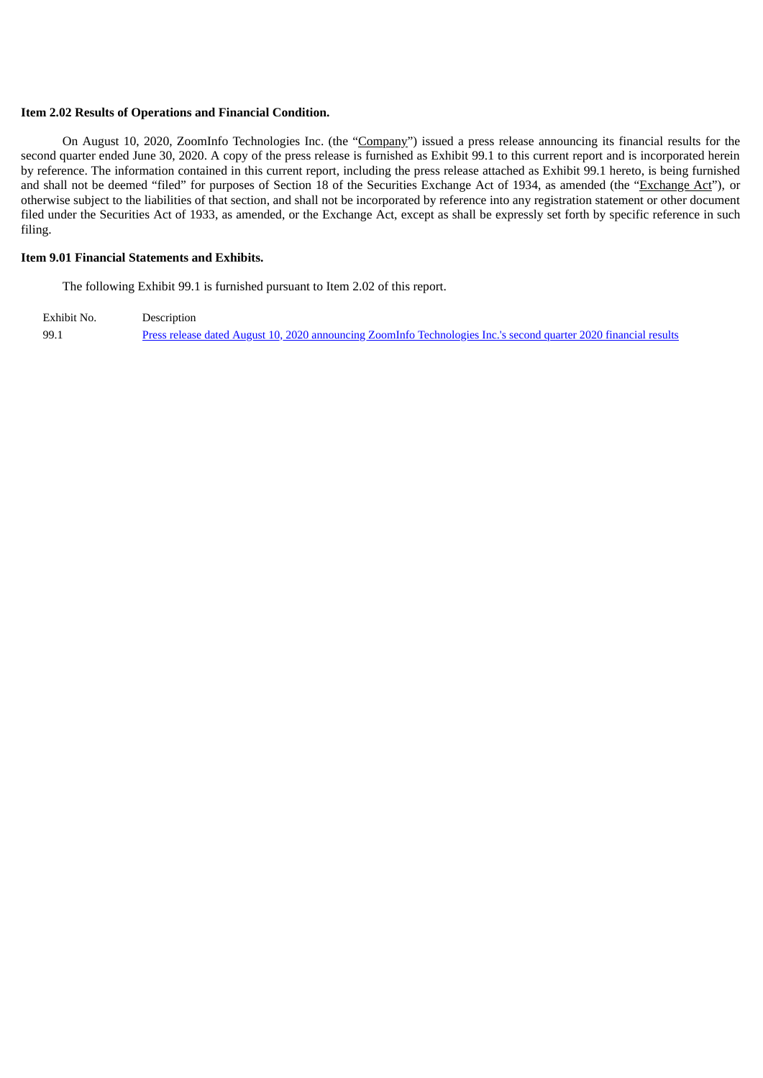#### **Item 2.02 Results of Operations and Financial Condition.**

On August 10, 2020, ZoomInfo Technologies Inc. (the "Company") issued a press release announcing its financial results for the second quarter ended June 30, 2020. A copy of the press release is furnished as Exhibit 99.1 to this current report and is incorporated herein by reference. The information contained in this current report, including the press release attached as Exhibit 99.1 hereto, is being furnished and shall not be deemed "filed" for purposes of Section 18 of the Securities Exchange Act of 1934, as amended (the "Exchange Act"), or otherwise subject to the liabilities of that section, and shall not be incorporated by reference into any registration statement or other document filed under the Securities Act of 1933, as amended, or the Exchange Act, except as shall be expressly set forth by specific reference in such filing.

#### **Item 9.01 Financial Statements and Exhibits.**

The following Exhibit 99.1 is furnished pursuant to Item 2.02 of this report.

Exhibit No. Description 99.1 Press release dated August 10, 2020 announcing ZoomInfo [Technologies](#page-3-0) Inc.'s second quarter 2020 financial results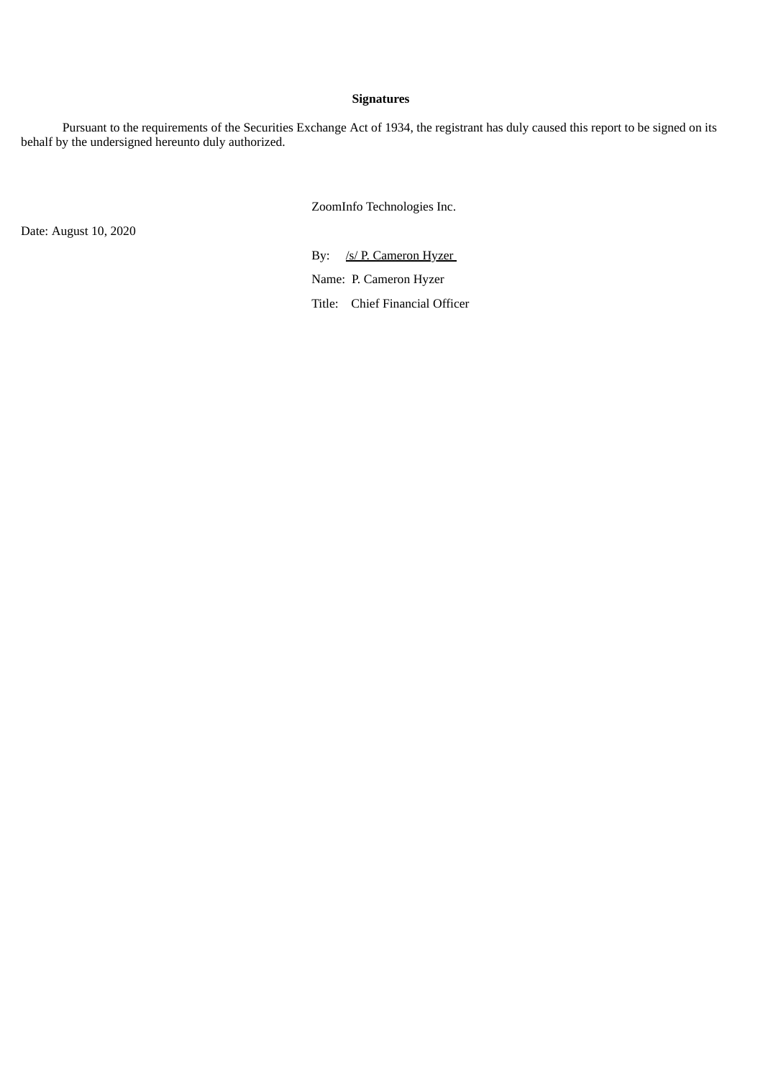### **Signatures**

Pursuant to the requirements of the Securities Exchange Act of 1934, the registrant has duly caused this report to be signed on its behalf by the undersigned hereunto duly authorized.

ZoomInfo Technologies Inc.

Date: August 10, 2020

By: /s/ P. Cameron Hyzer Name: P. Cameron Hyzer Title: Chief Financial Officer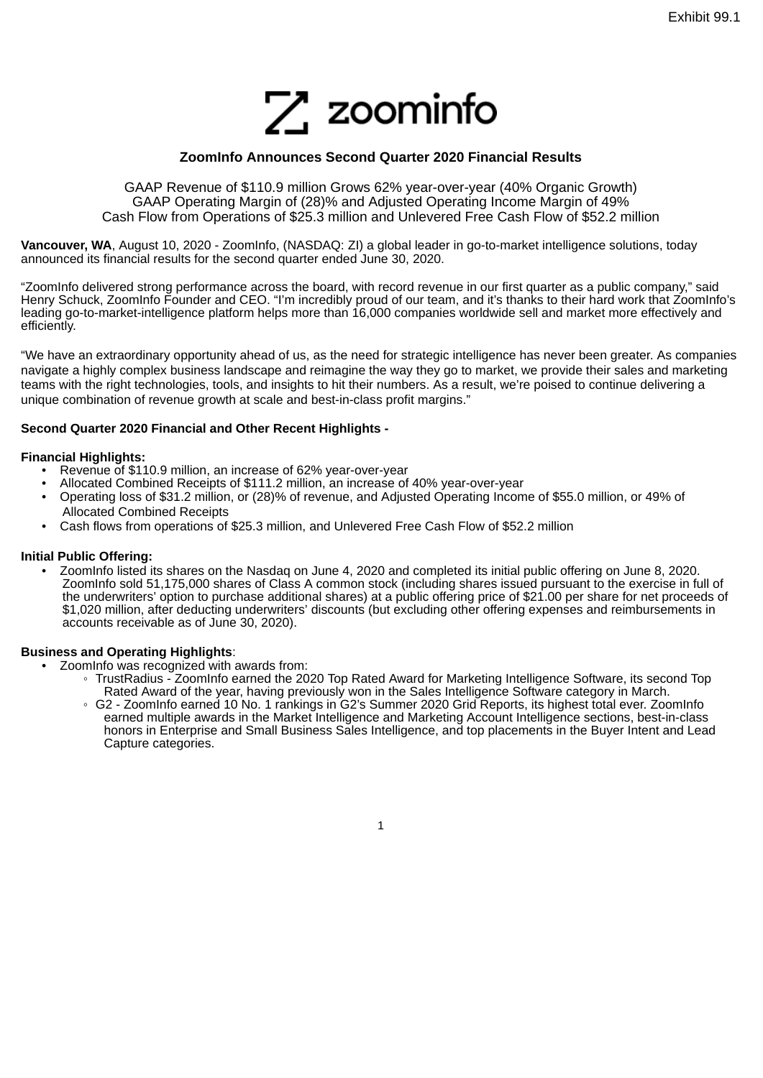

### **ZoomInfo Announces Second Quarter 2020 Financial Results**

<span id="page-3-0"></span>GAAP Revenue of \$110.9 million Grows 62% year-over-year (40% Organic Growth) GAAP Operating Margin of (28)% and Adjusted Operating Income Margin of 49% Cash Flow from Operations of \$25.3 million and Unlevered Free Cash Flow of \$52.2 million

**Vancouver, WA**, August 10, 2020 - ZoomInfo, (NASDAQ: ZI) a global leader in go-to-market intelligence solutions, today announced its financial results for the second quarter ended June 30, 2020.

"ZoomInfo delivered strong performance across the board, with record revenue in our first quarter as a public company," said Henry Schuck, ZoomInfo Founder and CEO. "I'm incredibly proud of our team, and it's thanks to their hard work that ZoomInfo's leading go-to-market-intelligence platform helps more than 16,000 companies worldwide sell and market more effectively and efficiently.

"We have an extraordinary opportunity ahead of us, as the need for strategic intelligence has never been greater. As companies navigate a highly complex business landscape and reimagine the way they go to market, we provide their sales and marketing teams with the right technologies, tools, and insights to hit their numbers. As a result, we're poised to continue delivering a unique combination of revenue growth at scale and best-in-class profit margins."

#### **Second Quarter 2020 Financial and Other Recent Highlights -**

#### **Financial Highlights:**

- Revenue of \$110.9 million, an increase of 62% year-over-year
- Allocated Combined Receipts of \$111.2 million, an increase of 40% year-over-year
- Operating loss of \$31.2 million, or (28)% of revenue, and Adjusted Operating Income of \$55.0 million, or 49% of Allocated Combined Receipts
- Cash flows from operations of \$25.3 million, and Unlevered Free Cash Flow of \$52.2 million

#### **Initial Public Offering:**

• ZoomInfo listed its shares on the Nasdaq on June 4, 2020 and completed its initial public offering on June 8, 2020. ZoomInfo sold 51,175,000 shares of Class A common stock (including shares issued pursuant to the exercise in full of the underwriters' option to purchase additional shares) at a public offering price of \$21.00 per share for net proceeds of \$1,020 million, after deducting underwriters' discounts (but excluding other offering expenses and reimbursements in accounts receivable as of June 30, 2020).

#### **Business and Operating Highlights**:

- ZoomInfo was recognized with awards from:
	- TrustRadius ZoomInfo earned the 2020 Top Rated Award for Marketing Intelligence Software, its second Top Rated Award of the year, having previously won in the Sales Intelligence Software category in March.
		- G2 ZoomInfo earned 10 No. 1 rankings in G2's Summer 2020 Grid Reports, its highest total ever. ZoomInfo earned multiple awards in the Market Intelligence and Marketing Account Intelligence sections, best-in-class honors in Enterprise and Small Business Sales Intelligence, and top placements in the Buyer Intent and Lead Capture categories.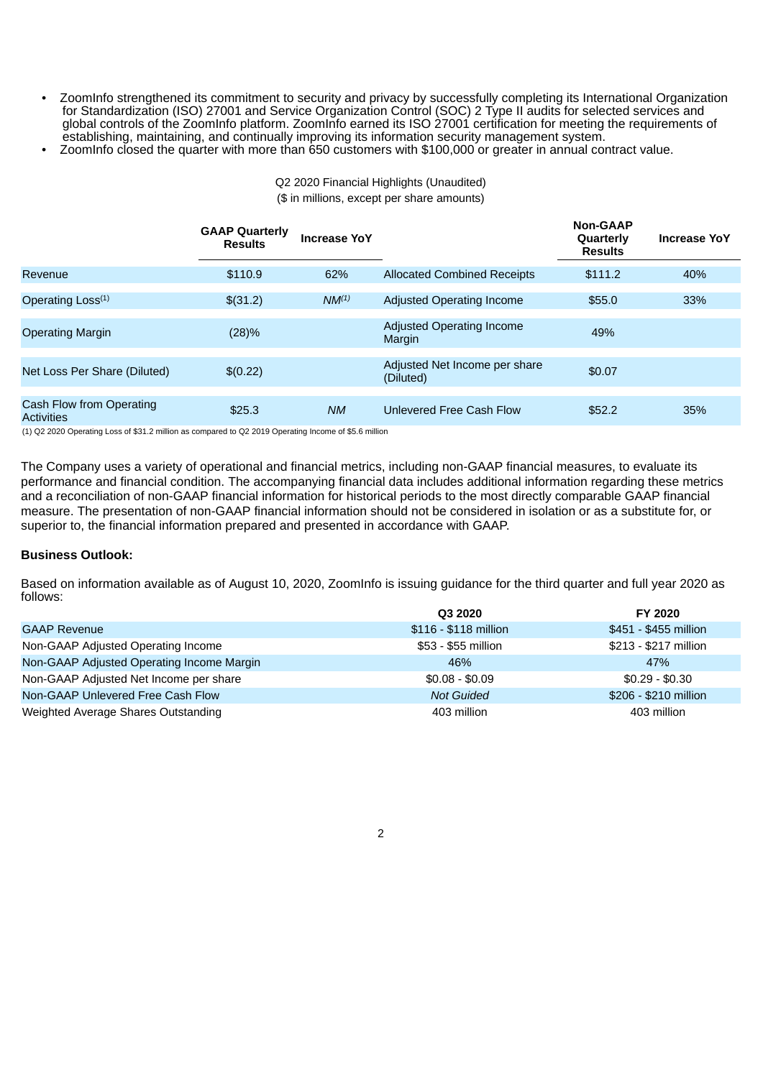• ZoomInfo strengthened its commitment to security and privacy by successfully completing its International Organization for Standardization (ISO) 27001 and Service Organization Control (SOC) 2 Type II audits for selected services and global controls of the ZoomInfo platform. ZoomInfo earned its ISO 27001 certification for meeting the requirements of establishing, maintaining, and continually improving its information security management system.

> Q2 2020 Financial Highlights (Unaudited) (\$ in millions, except per share amounts)

• ZoomInfo closed the quarter with more than 650 customers with \$100,000 or greater in annual contract value.

|                                        | <b>GAAP Quarterly</b><br><b>Results</b> | <b>Increase YoY</b> |                                            | <b>Non-GAAP</b><br><b>Ouarterly</b><br><b>Results</b> | <b>Increase YoY</b> |
|----------------------------------------|-----------------------------------------|---------------------|--------------------------------------------|-------------------------------------------------------|---------------------|
| Revenue                                | \$110.9                                 | 62%                 | <b>Allocated Combined Receipts</b>         | \$111.2                                               | 40%                 |
| Operating Loss <sup>(1)</sup>          | \$(31.2)                                | $NM^{(1)}$          | Adjusted Operating Income                  | \$55.0                                                | 33%                 |
| <b>Operating Margin</b>                | (28)%                                   |                     | Adjusted Operating Income<br>Margin        | 49%                                                   |                     |
| Net Loss Per Share (Diluted)           | \$(0.22)                                |                     | Adjusted Net Income per share<br>(Diluted) | \$0.07                                                |                     |
| Cash Flow from Operating<br>Activities | \$25.3                                  | <b>NM</b>           | Unlevered Free Cash Flow                   | \$52.2                                                | 35%                 |

(1) Q2 2020 Operating Loss of \$31.2 million as compared to Q2 2019 Operating Income of \$5.6 million

The Company uses a variety of operational and financial metrics, including non-GAAP financial measures, to evaluate its performance and financial condition. The accompanying financial data includes additional information regarding these metrics and a reconciliation of non-GAAP financial information for historical periods to the most directly comparable GAAP financial measure. The presentation of non-GAAP financial information should not be considered in isolation or as a substitute for, or superior to, the financial information prepared and presented in accordance with GAAP.

### **Business Outlook:**

Based on information available as of August 10, 2020, ZoomInfo is issuing guidance for the third quarter and full year 2020 as follows:

|                                           | <b>Q3 2020</b>        | FY 2020               |
|-------------------------------------------|-----------------------|-----------------------|
| <b>GAAP Revenue</b>                       | \$116 - \$118 million | \$451 - \$455 million |
| Non-GAAP Adjusted Operating Income        | \$53 - \$55 million   | \$213 - \$217 million |
| Non-GAAP Adjusted Operating Income Margin | 46%                   | 47%                   |
| Non-GAAP Adjusted Net Income per share    | $$0.08 - $0.09$       | $$0.29 - $0.30$       |
| Non-GAAP Unlevered Free Cash Flow         | <b>Not Guided</b>     | \$206 - \$210 million |
| Weighted Average Shares Outstanding       | 403 million           | 403 million           |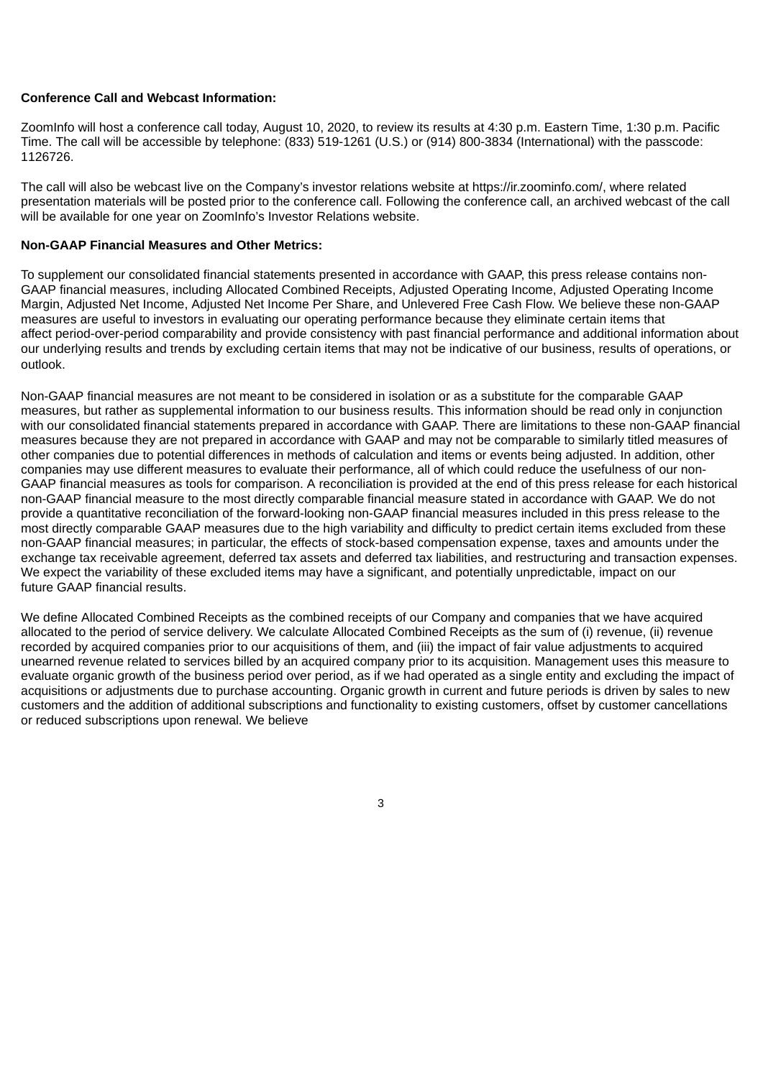#### **Conference Call and Webcast Information:**

ZoomInfo will host a conference call today, August 10, 2020, to review its results at 4:30 p.m. Eastern Time, 1:30 p.m. Pacific Time. The call will be accessible by telephone: (833) 519-1261 (U.S.) or (914) 800-3834 (International) with the passcode: 1126726.

The call will also be webcast live on the Company's investor relations website at https://ir.zoominfo.com/, where related presentation materials will be posted prior to the conference call. Following the conference call, an archived webcast of the call will be available for one year on ZoomInfo's Investor Relations website.

### **Non-GAAP Financial Measures and Other Metrics:**

To supplement our consolidated financial statements presented in accordance with GAAP, this press release contains non-GAAP financial measures, including Allocated Combined Receipts, Adjusted Operating Income, Adjusted Operating Income Margin, Adjusted Net Income, Adjusted Net Income Per Share, and Unlevered Free Cash Flow. We believe these non-GAAP measures are useful to investors in evaluating our operating performance because they eliminate certain items that affect period-over-period comparability and provide consistency with past financial performance and additional information about our underlying results and trends by excluding certain items that may not be indicative of our business, results of operations, or outlook.

Non-GAAP financial measures are not meant to be considered in isolation or as a substitute for the comparable GAAP measures, but rather as supplemental information to our business results. This information should be read only in conjunction with our consolidated financial statements prepared in accordance with GAAP. There are limitations to these non-GAAP financial measures because they are not prepared in accordance with GAAP and may not be comparable to similarly titled measures of other companies due to potential differences in methods of calculation and items or events being adjusted. In addition, other companies may use different measures to evaluate their performance, all of which could reduce the usefulness of our non-GAAP financial measures as tools for comparison. A reconciliation is provided at the end of this press release for each historical non-GAAP financial measure to the most directly comparable financial measure stated in accordance with GAAP. We do not provide a quantitative reconciliation of the forward-looking non-GAAP financial measures included in this press release to the most directly comparable GAAP measures due to the high variability and difficulty to predict certain items excluded from these non-GAAP financial measures; in particular, the effects of stock-based compensation expense, taxes and amounts under the exchange tax receivable agreement, deferred tax assets and deferred tax liabilities, and restructuring and transaction expenses. We expect the variability of these excluded items may have a significant, and potentially unpredictable, impact on our future GAAP financial results.

We define Allocated Combined Receipts as the combined receipts of our Company and companies that we have acquired allocated to the period of service delivery. We calculate Allocated Combined Receipts as the sum of (i) revenue, (ii) revenue recorded by acquired companies prior to our acquisitions of them, and (iii) the impact of fair value adjustments to acquired unearned revenue related to services billed by an acquired company prior to its acquisition. Management uses this measure to evaluate organic growth of the business period over period, as if we had operated as a single entity and excluding the impact of acquisitions or adjustments due to purchase accounting. Organic growth in current and future periods is driven by sales to new customers and the addition of additional subscriptions and functionality to existing customers, offset by customer cancellations or reduced subscriptions upon renewal. We believe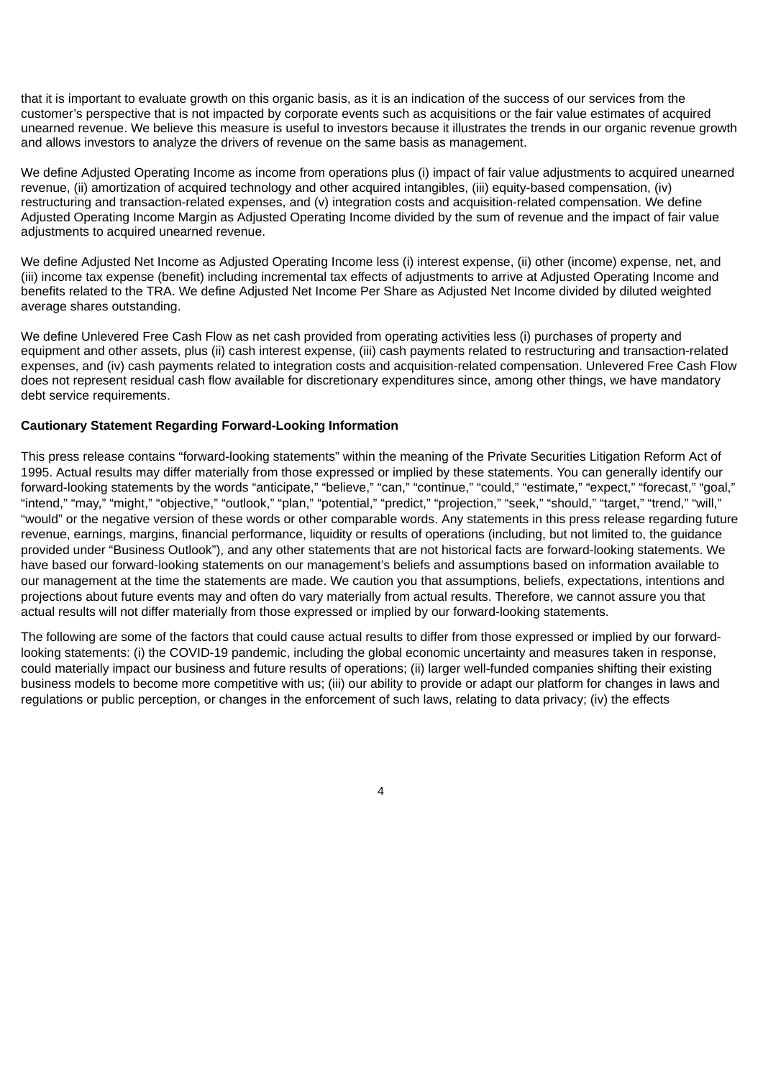that it is important to evaluate growth on this organic basis, as it is an indication of the success of our services from the customer's perspective that is not impacted by corporate events such as acquisitions or the fair value estimates of acquired unearned revenue. We believe this measure is useful to investors because it illustrates the trends in our organic revenue growth and allows investors to analyze the drivers of revenue on the same basis as management.

We define Adjusted Operating Income as income from operations plus (i) impact of fair value adjustments to acquired unearned revenue, (ii) amortization of acquired technology and other acquired intangibles, (iii) equity-based compensation, (iv) restructuring and transaction-related expenses, and (v) integration costs and acquisition-related compensation. We define Adjusted Operating Income Margin as Adjusted Operating Income divided by the sum of revenue and the impact of fair value adjustments to acquired unearned revenue.

We define Adjusted Net Income as Adjusted Operating Income less (i) interest expense, (ii) other (income) expense, net, and (iii) income tax expense (benefit) including incremental tax effects of adjustments to arrive at Adjusted Operating Income and benefits related to the TRA. We define Adjusted Net Income Per Share as Adjusted Net Income divided by diluted weighted average shares outstanding.

We define Unlevered Free Cash Flow as net cash provided from operating activities less (i) purchases of property and equipment and other assets, plus (ii) cash interest expense, (iii) cash payments related to restructuring and transaction-related expenses, and (iv) cash payments related to integration costs and acquisition-related compensation. Unlevered Free Cash Flow does not represent residual cash flow available for discretionary expenditures since, among other things, we have mandatory debt service requirements.

### **Cautionary Statement Regarding Forward-Looking Information**

This press release contains "forward-looking statements" within the meaning of the Private Securities Litigation Reform Act of 1995. Actual results may differ materially from those expressed or implied by these statements. You can generally identify our forward-looking statements by the words "anticipate," "believe," "can," "continue," "could," "estimate," "expect," "forecast," "goal," "intend," "may," "might," "objective," "outlook," "plan," "potential," "predict," "projection," "seek," "should," "target," "trend," "will," "would" or the negative version of these words or other comparable words. Any statements in this press release regarding future revenue, earnings, margins, financial performance, liquidity or results of operations (including, but not limited to, the guidance provided under "Business Outlook"), and any other statements that are not historical facts are forward-looking statements. We have based our forward-looking statements on our management's beliefs and assumptions based on information available to our management at the time the statements are made. We caution you that assumptions, beliefs, expectations, intentions and projections about future events may and often do vary materially from actual results. Therefore, we cannot assure you that actual results will not differ materially from those expressed or implied by our forward-looking statements.

The following are some of the factors that could cause actual results to differ from those expressed or implied by our forwardlooking statements: (i) the COVID-19 pandemic, including the global economic uncertainty and measures taken in response, could materially impact our business and future results of operations; (ii) larger well-funded companies shifting their existing business models to become more competitive with us; (iii) our ability to provide or adapt our platform for changes in laws and regulations or public perception, or changes in the enforcement of such laws, relating to data privacy; (iv) the effects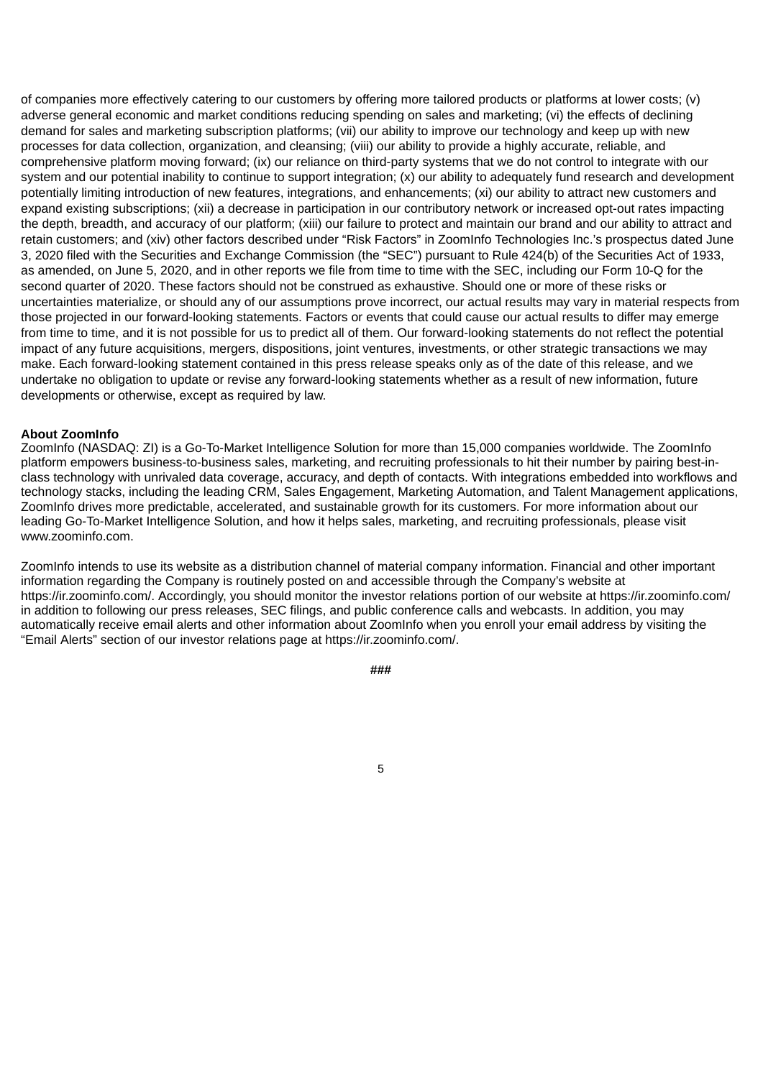of companies more effectively catering to our customers by offering more tailored products or platforms at lower costs; (v) adverse general economic and market conditions reducing spending on sales and marketing; (vi) the effects of declining demand for sales and marketing subscription platforms; (vii) our ability to improve our technology and keep up with new processes for data collection, organization, and cleansing; (viii) our ability to provide a highly accurate, reliable, and comprehensive platform moving forward; (ix) our reliance on third-party systems that we do not control to integrate with our system and our potential inability to continue to support integration; (x) our ability to adequately fund research and development potentially limiting introduction of new features, integrations, and enhancements; (xi) our ability to attract new customers and expand existing subscriptions; (xii) a decrease in participation in our contributory network or increased opt-out rates impacting the depth, breadth, and accuracy of our platform; (xiii) our failure to protect and maintain our brand and our ability to attract and retain customers; and (xiv) other factors described under "Risk Factors" in ZoomInfo Technologies Inc.'s prospectus dated June 3, 2020 filed with the Securities and Exchange Commission (the "SEC") pursuant to Rule 424(b) of the Securities Act of 1933, as amended, on June 5, 2020, and in other reports we file from time to time with the SEC, including our Form 10-Q for the second quarter of 2020. These factors should not be construed as exhaustive. Should one or more of these risks or uncertainties materialize, or should any of our assumptions prove incorrect, our actual results may vary in material respects from those projected in our forward-looking statements. Factors or events that could cause our actual results to differ may emerge from time to time, and it is not possible for us to predict all of them. Our forward-looking statements do not reflect the potential impact of any future acquisitions, mergers, dispositions, joint ventures, investments, or other strategic transactions we may make. Each forward-looking statement contained in this press release speaks only as of the date of this release, and we undertake no obligation to update or revise any forward-looking statements whether as a result of new information, future developments or otherwise, except as required by law.

#### **About ZoomInfo**

ZoomInfo (NASDAQ: ZI) is a Go-To-Market Intelligence Solution for more than 15,000 companies worldwide. The ZoomInfo platform empowers business-to-business sales, marketing, and recruiting professionals to hit their number by pairing best-inclass technology with unrivaled data coverage, accuracy, and depth of contacts. With integrations embedded into workflows and technology stacks, including the leading CRM, Sales Engagement, Marketing Automation, and Talent Management applications, ZoomInfo drives more predictable, accelerated, and sustainable growth for its customers. For more information about our leading Go-To-Market Intelligence Solution, and how it helps sales, marketing, and recruiting professionals, please visit www.zoominfo.com.

ZoomInfo intends to use its website as a distribution channel of material company information. Financial and other important information regarding the Company is routinely posted on and accessible through the Company's website at https://ir.zoominfo.com/. Accordingly, you should monitor the investor relations portion of our website at https://ir.zoominfo.com/ in addition to following our press releases, SEC filings, and public conference calls and webcasts. In addition, you may automatically receive email alerts and other information about ZoomInfo when you enroll your email address by visiting the "Email Alerts" section of our investor relations page at https://ir.zoominfo.com/.

**###**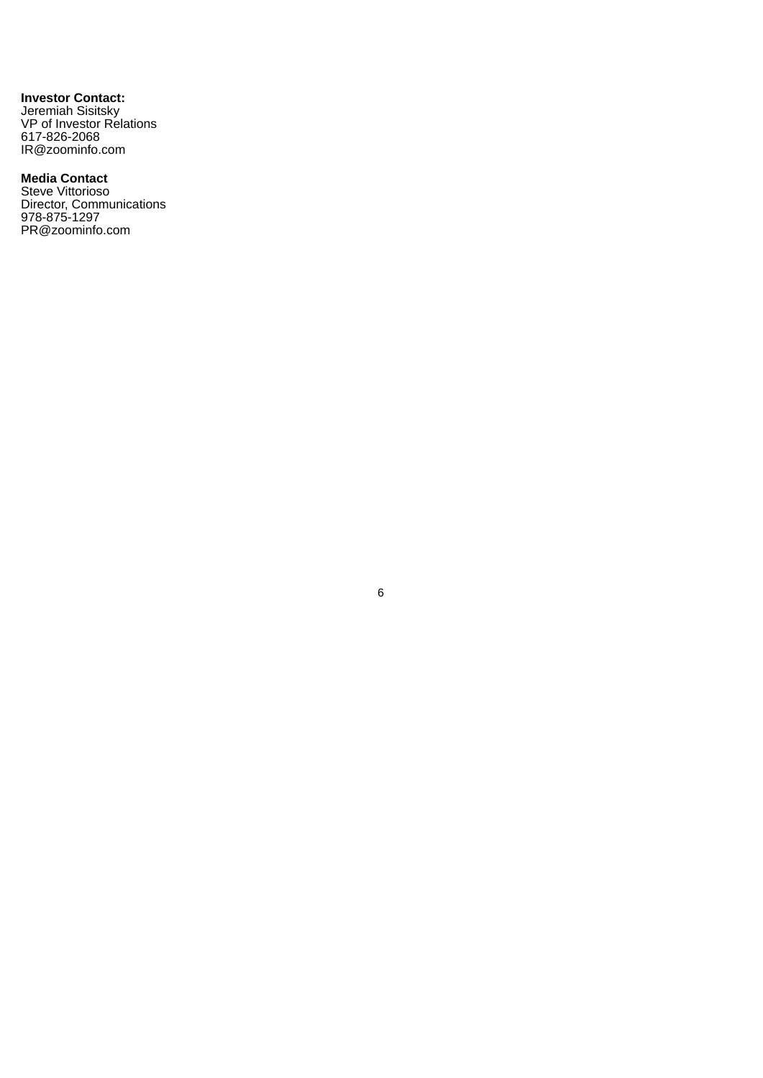**Investor Contact:** Jeremiah Sisitsky VP of Investor Relations 617-826-2068 IR@zoominfo.com

# **Media Contact**

Steve Vittorioso Director, Communications 978-875-1297 PR@zoominfo.com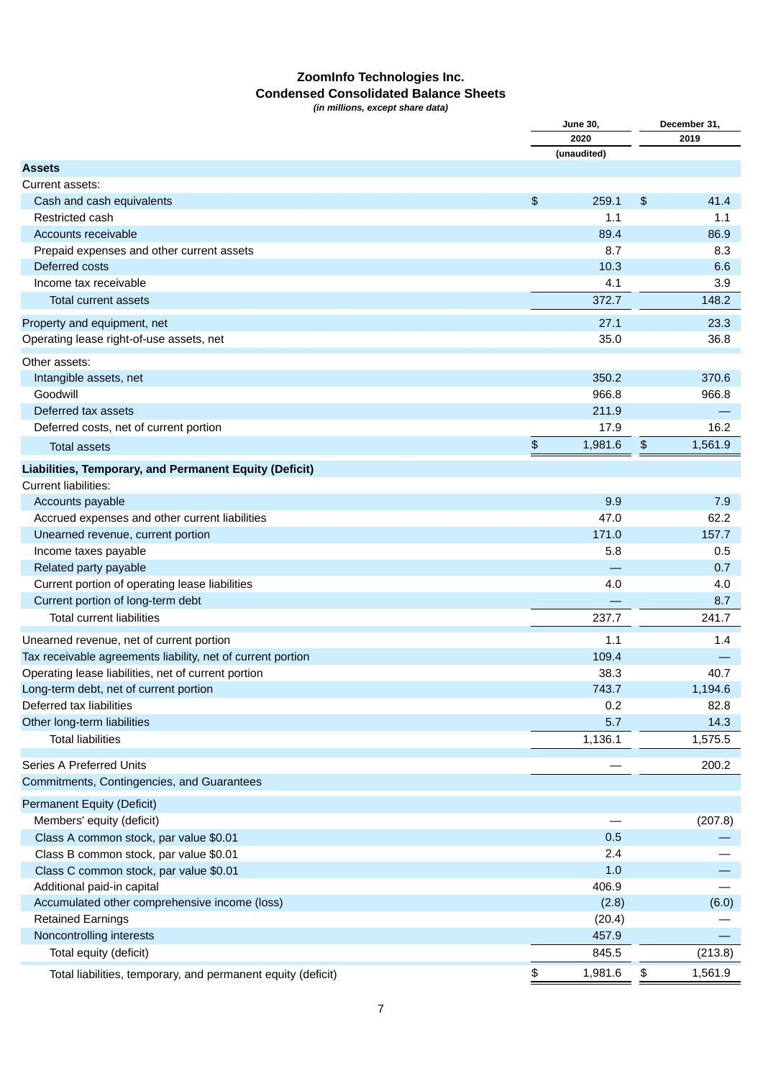# **ZoomInfo Technologies Inc. Condensed Consolidated Balance Sheets**

*(in millions, except share data)*

|                                                              | <b>June 30,</b> | December 31,  |
|--------------------------------------------------------------|-----------------|---------------|
|                                                              | 2020            | 2019          |
|                                                              | (unaudited)     |               |
| <b>Assets</b>                                                |                 |               |
| Current assets:                                              |                 |               |
| Cash and cash equivalents                                    | \$<br>259.1     | \$<br>41.4    |
| Restricted cash                                              | 1.1             | 1.1           |
| Accounts receivable                                          | 89.4            | 86.9          |
| Prepaid expenses and other current assets                    | 8.7             | 8.3           |
| Deferred costs                                               | 10.3            | 6.6           |
| Income tax receivable                                        | 4.1             | 3.9           |
| Total current assets                                         | 372.7           | 148.2         |
| Property and equipment, net                                  | 27.1            | 23.3          |
| Operating lease right-of-use assets, net                     | 35.0            | 36.8          |
| Other assets:                                                |                 |               |
| Intangible assets, net                                       | 350.2           | 370.6         |
| Goodwill                                                     | 966.8           | 966.8         |
| Deferred tax assets                                          | 211.9           |               |
| Deferred costs, net of current portion                       | 17.9            | 16.2          |
| <b>Total assets</b>                                          | \$<br>1,981.6   | \$<br>1,561.9 |
|                                                              |                 |               |
| Liabilities, Temporary, and Permanent Equity (Deficit)       |                 |               |
| <b>Current liabilities:</b>                                  |                 |               |
| Accounts payable                                             | 9.9             | 7.9           |
| Accrued expenses and other current liabilities               | 47.0            | 62.2          |
| Unearned revenue, current portion                            | 171.0           | 157.7         |
| Income taxes payable                                         | 5.8             | 0.5           |
| Related party payable                                        |                 | 0.7           |
| Current portion of operating lease liabilities               | 4.0             | 4.0           |
| Current portion of long-term debt                            |                 | 8.7           |
| <b>Total current liabilities</b>                             | 237.7           | 241.7         |
| Unearned revenue, net of current portion                     | 1.1             | 1.4           |
| Tax receivable agreements liability, net of current portion  | 109.4           |               |
| Operating lease liabilities, net of current portion          | 38.3            | 40.7          |
| Long-term debt, net of current portion                       | 743.7           | 1,194.6       |
| Deferred tax liabilities                                     | 0.2             | 82.8          |
| Other long-term liabilities                                  | 5.7             | 14.3          |
| <b>Total liabilities</b>                                     | 1,136.1         | 1,575.5       |
|                                                              |                 |               |
| Series A Preferred Units                                     |                 | 200.2         |
| Commitments, Contingencies, and Guarantees                   |                 |               |
| Permanent Equity (Deficit)                                   |                 |               |
| Members' equity (deficit)                                    |                 | (207.8)       |
| Class A common stock, par value \$0.01                       | 0.5             |               |
| Class B common stock, par value \$0.01                       | 2.4             |               |
| Class C common stock, par value \$0.01                       | 1.0             |               |
| Additional paid-in capital                                   | 406.9           |               |
| Accumulated other comprehensive income (loss)                | (2.8)           | (6.0)         |
| <b>Retained Earnings</b>                                     | (20.4)          |               |
| Noncontrolling interests                                     | 457.9           |               |
| Total equity (deficit)                                       | 845.5           | (213.8)       |
| Total liabilities, temporary, and permanent equity (deficit) | \$<br>1,981.6   | \$<br>1,561.9 |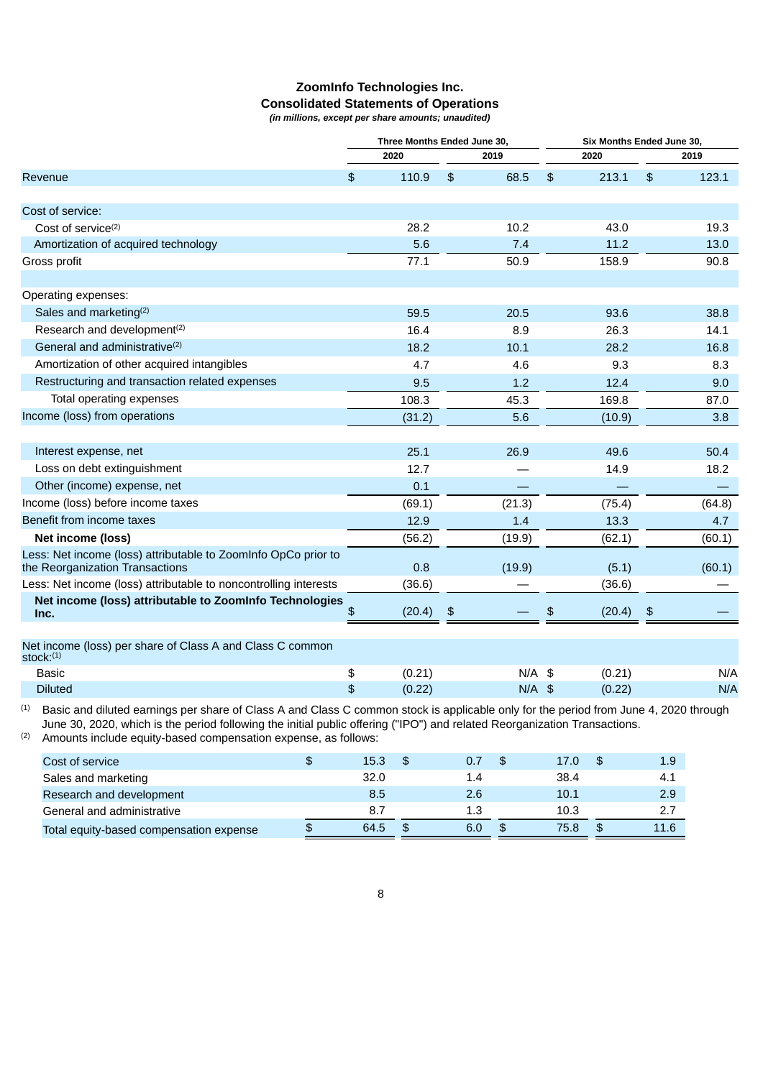# **ZoomInfo Technologies Inc. Consolidated Statements of Operations**

*(in millions, except per share amounts; unaudited)*

|                                                                                                   | Three Months Ended June 30, |        |    | Six Months Ended June 30, |    |        |    |        |
|---------------------------------------------------------------------------------------------------|-----------------------------|--------|----|---------------------------|----|--------|----|--------|
|                                                                                                   |                             | 2020   |    | 2019                      |    | 2020   |    | 2019   |
| Revenue                                                                                           | $\frac{1}{2}$               | 110.9  | \$ | 68.5                      | \$ | 213.1  | \$ | 123.1  |
| Cost of service:                                                                                  |                             |        |    |                           |    |        |    |        |
| Cost of service <sup>(2)</sup>                                                                    |                             | 28.2   |    | 10.2                      |    | 43.0   |    | 19.3   |
| Amortization of acquired technology                                                               |                             | 5.6    |    | 7.4                       |    | 11.2   |    | 13.0   |
| Gross profit                                                                                      |                             | 77.1   |    | 50.9                      |    | 158.9  |    | 90.8   |
| Operating expenses:                                                                               |                             |        |    |                           |    |        |    |        |
| Sales and marketing <sup>(2)</sup>                                                                |                             | 59.5   |    | 20.5                      |    | 93.6   |    | 38.8   |
| Research and development <sup>(2)</sup>                                                           |                             | 16.4   |    | 8.9                       |    | 26.3   |    | 14.1   |
| General and administrative <sup>(2)</sup>                                                         |                             | 18.2   |    | 10.1                      |    | 28.2   |    | 16.8   |
| Amortization of other acquired intangibles                                                        |                             | 4.7    |    | 4.6                       |    | 9.3    |    | 8.3    |
| Restructuring and transaction related expenses                                                    |                             | 9.5    |    | 1.2                       |    | 12.4   |    | 9.0    |
| Total operating expenses                                                                          |                             | 108.3  |    | 45.3                      |    | 169.8  |    | 87.0   |
| Income (loss) from operations                                                                     |                             | (31.2) |    | 5.6                       |    | (10.9) |    | 3.8    |
|                                                                                                   |                             |        |    |                           |    |        |    |        |
| Interest expense, net                                                                             |                             | 25.1   |    | 26.9                      |    | 49.6   |    | 50.4   |
| Loss on debt extinguishment                                                                       |                             | 12.7   |    |                           |    | 14.9   |    | 18.2   |
| Other (income) expense, net                                                                       |                             | 0.1    |    |                           |    |        |    |        |
| Income (loss) before income taxes                                                                 |                             | (69.1) |    | (21.3)                    |    | (75.4) |    | (64.8) |
| Benefit from income taxes                                                                         |                             | 12.9   |    | 1.4                       |    | 13.3   |    | 4.7    |
| Net income (loss)                                                                                 |                             | (56.2) |    | (19.9)                    |    | (62.1) |    | (60.1) |
| Less: Net income (loss) attributable to ZoomInfo OpCo prior to<br>the Reorganization Transactions |                             | 0.8    |    | (19.9)                    |    | (5.1)  |    | (60.1) |
| Less: Net income (loss) attributable to noncontrolling interests                                  |                             | (36.6) |    |                           |    | (36.6) |    |        |
| Net income (loss) attributable to ZoomInfo Technologies<br>Inc.                                   | \$                          | (20.4) | \$ |                           | \$ | (20.4) | \$ |        |
|                                                                                                   |                             |        |    |                           |    |        |    |        |
| Net income (loss) per share of Class A and Class C common<br>$stock:$ <sup>(1)</sup>              |                             |        |    |                           |    |        |    |        |
| <b>Basic</b>                                                                                      | \$                          | (0.21) |    | $N/A$ \$                  |    | (0.21) |    | N/A    |
| <b>Diluted</b>                                                                                    | \$                          | (0.22) |    | $N/A$ \$                  |    | (0.22) |    | N/A    |
|                                                                                                   |                             |        |    |                           |    |        |    |        |

(1) Basic and diluted earnings per share of Class A and Class C common stock is applicable only for the period from June 4, 2020 through June 30, 2020, which is the period following the initial public offering ("IPO") and related Reorganization Transactions.

(2) Amounts include equity-based compensation expense, as follows:

| Cost of service                         |     | 15.3 | 0.7 | -S | 17.0 | 1.9  |
|-----------------------------------------|-----|------|-----|----|------|------|
| Sales and marketing                     |     | 32.0 | 1.4 |    | 38.4 | 4.1  |
| Research and development                |     | 8.5  | 2.6 |    | 10.1 | 2.9  |
| General and administrative              |     | 8.7  | 1.3 |    | 10.3 | 2.7  |
| Total equity-based compensation expense | \$. | 64.5 | 6.0 | \$ | 75.8 | 11.6 |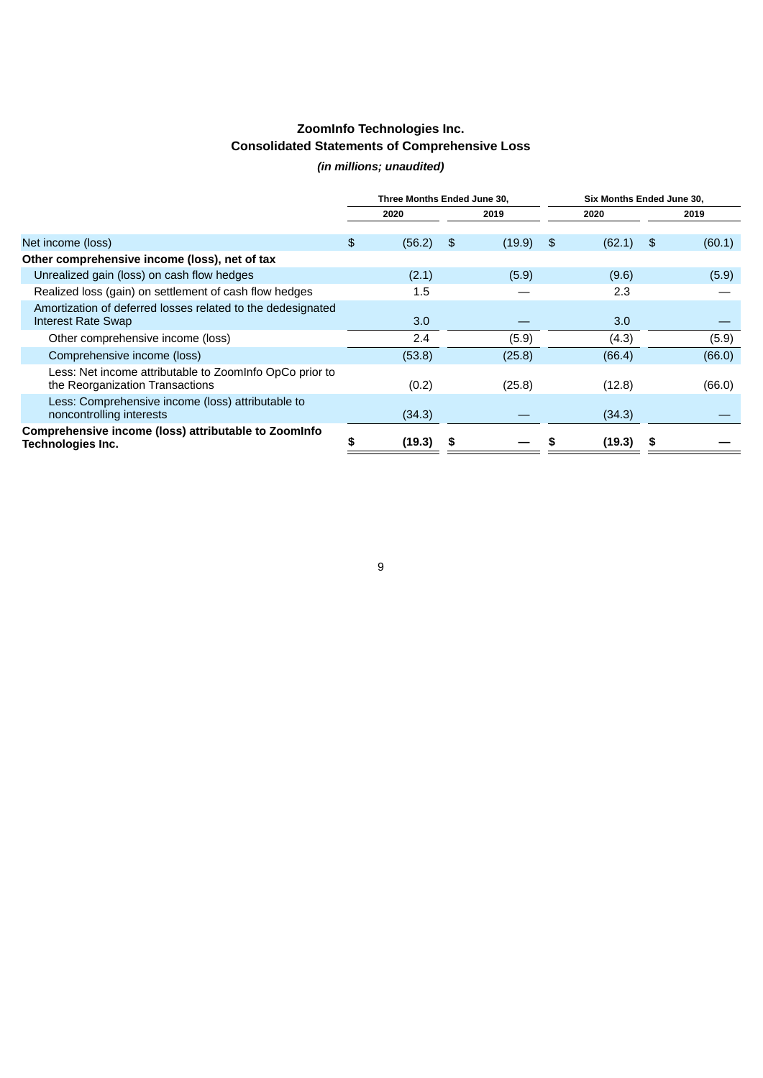# **ZoomInfo Technologies Inc. Consolidated Statements of Comprehensive Loss**

# *(in millions; unaudited)*

|                                                                                            | Three Months Ended June 30, |        |    |        | Six Months Ended June 30, |        |     |        |
|--------------------------------------------------------------------------------------------|-----------------------------|--------|----|--------|---------------------------|--------|-----|--------|
|                                                                                            |                             | 2020   |    | 2019   |                           | 2020   |     | 2019   |
|                                                                                            |                             |        |    |        |                           |        |     |        |
| Net income (loss)                                                                          | \$                          | (56.2) | \$ | (19.9) | \$                        | (62.1) | -\$ | (60.1) |
| Other comprehensive income (loss), net of tax                                              |                             |        |    |        |                           |        |     |        |
| Unrealized gain (loss) on cash flow hedges                                                 |                             | (2.1)  |    | (5.9)  |                           | (9.6)  |     | (5.9)  |
| Realized loss (gain) on settlement of cash flow hedges                                     |                             | 1.5    |    |        |                           | 2.3    |     |        |
| Amortization of deferred losses related to the dedesignated<br>Interest Rate Swap          |                             | 3.0    |    |        |                           | 3.0    |     |        |
| Other comprehensive income (loss)                                                          |                             | 2.4    |    | (5.9)  |                           | (4.3)  |     | (5.9)  |
| Comprehensive income (loss)                                                                |                             | (53.8) |    | (25.8) |                           | (66.4) |     | (66.0) |
| Less: Net income attributable to ZoomInfo OpCo prior to<br>the Reorganization Transactions |                             | (0.2)  |    | (25.8) |                           | (12.8) |     | (66.0) |
| Less: Comprehensive income (loss) attributable to<br>noncontrolling interests              |                             | (34.3) |    |        |                           | (34.3) |     |        |
| Comprehensive income (loss) attributable to Zoominfo<br>Technologies Inc.                  |                             | (19.3) |    |        |                           | (19.3) | \$  |        |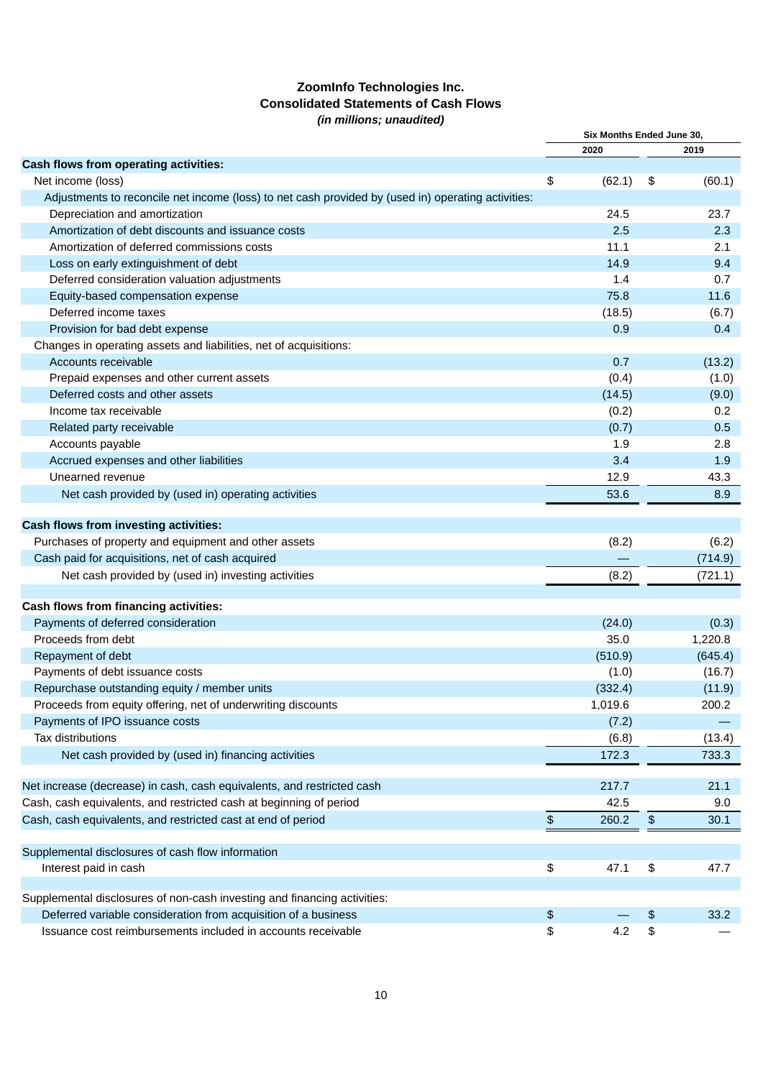# **ZoomInfo Technologies Inc. Consolidated Statements of Cash Flows** *(in millions; unaudited)*

|                                                                                                    | Six Months Ended June 30, |              |
|----------------------------------------------------------------------------------------------------|---------------------------|--------------|
|                                                                                                    | 2020                      | 2019         |
| Cash flows from operating activities:                                                              |                           |              |
| Net income (loss)                                                                                  | \$<br>(62.1)              | \$<br>(60.1) |
| Adjustments to reconcile net income (loss) to net cash provided by (used in) operating activities: |                           |              |
| Depreciation and amortization                                                                      | 24.5                      | 23.7         |
| Amortization of debt discounts and issuance costs                                                  | 2.5                       | 2.3          |
| Amortization of deferred commissions costs                                                         | 11.1                      | 2.1          |
| Loss on early extinguishment of debt                                                               | 14.9                      | 9.4          |
| Deferred consideration valuation adjustments                                                       | 1.4                       | 0.7          |
| Equity-based compensation expense                                                                  | 75.8                      | 11.6         |
| Deferred income taxes                                                                              | (18.5)                    | (6.7)        |
| Provision for bad debt expense                                                                     | 0.9                       | 0.4          |
| Changes in operating assets and liabilities, net of acquisitions:                                  |                           |              |
| Accounts receivable                                                                                | 0.7                       | (13.2)       |
| Prepaid expenses and other current assets                                                          | (0.4)                     | (1.0)        |
| Deferred costs and other assets                                                                    | (14.5)                    | (9.0)        |
| Income tax receivable                                                                              | (0.2)                     | 0.2          |
| Related party receivable                                                                           | (0.7)                     | 0.5          |
| Accounts payable                                                                                   | 1.9                       | 2.8          |
| Accrued expenses and other liabilities                                                             | 3.4                       | 1.9          |
| Unearned revenue                                                                                   | 12.9                      | 43.3         |
| Net cash provided by (used in) operating activities                                                | 53.6                      | 8.9          |
| Cash flows from investing activities:                                                              |                           |              |
|                                                                                                    |                           |              |
| Purchases of property and equipment and other assets                                               | (8.2)                     | (6.2)        |
| Cash paid for acquisitions, net of cash acquired                                                   |                           | (714.9)      |
| Net cash provided by (used in) investing activities                                                | (8.2)                     | (721.1)      |
| Cash flows from financing activities:                                                              |                           |              |
| Payments of deferred consideration                                                                 | (24.0)                    | (0.3)        |
| Proceeds from debt                                                                                 | 35.0                      | 1,220.8      |
| Repayment of debt                                                                                  | (510.9)                   | (645.4)      |
| Payments of debt issuance costs                                                                    | (1.0)                     | (16.7)       |
| Repurchase outstanding equity / member units                                                       | (332.4)                   | (11.9)       |
| Proceeds from equity offering, net of underwriting discounts                                       | 1,019.6                   | 200.2        |
| Payments of IPO issuance costs                                                                     | (7.2)                     |              |
| Tax distributions                                                                                  | (6.8)                     | (13.4)       |
| Net cash provided by (used in) financing activities                                                | 172.3                     | 733.3        |
|                                                                                                    |                           |              |
| Net increase (decrease) in cash, cash equivalents, and restricted cash                             | 217.7                     | 21.1         |
| Cash, cash equivalents, and restricted cash at beginning of period                                 | 42.5                      | 9.0          |
| Cash, cash equivalents, and restricted cast at end of period                                       | \$<br>260.2               | \$<br>30.1   |
| Supplemental disclosures of cash flow information                                                  |                           |              |
| Interest paid in cash                                                                              | \$<br>47.1                | \$<br>47.7   |
|                                                                                                    |                           |              |
| Supplemental disclosures of non-cash investing and financing activities:                           |                           |              |
| Deferred variable consideration from acquisition of a business                                     | \$                        | \$<br>33.2   |
| Issuance cost reimbursements included in accounts receivable                                       | \$<br>4.2                 | \$           |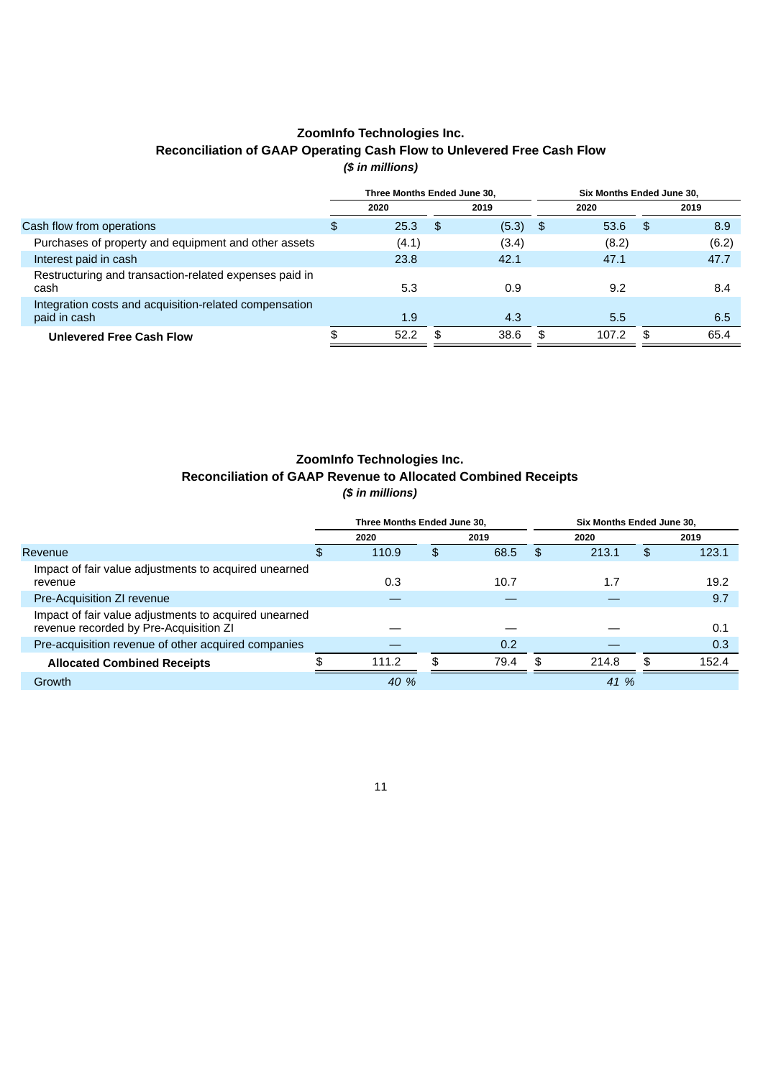# **ZoomInfo Technologies Inc. Reconciliation of GAAP Operating Cash Flow to Unlevered Free Cash Flow** *(\$ in millions)*

|                                                                        | Three Months Ended June 30. |       |     |            |  | Six Months Ended June 30. |     |       |  |  |
|------------------------------------------------------------------------|-----------------------------|-------|-----|------------|--|---------------------------|-----|-------|--|--|
|                                                                        |                             | 2020  |     | 2019       |  | 2020                      |     | 2019  |  |  |
| Cash flow from operations                                              | \$                          | 25.3  | ∣\$ | $(5.3)$ \$ |  | 53.6                      | -\$ | 8.9   |  |  |
| Purchases of property and equipment and other assets                   |                             | (4.1) |     | (3.4)      |  | (8.2)                     |     | (6.2) |  |  |
| Interest paid in cash                                                  |                             | 23.8  |     | 42.1       |  | 47.1                      |     | 47.7  |  |  |
| Restructuring and transaction-related expenses paid in<br>cash         |                             | 5.3   |     | 0.9        |  | 9.2                       |     | 8.4   |  |  |
| Integration costs and acquisition-related compensation<br>paid in cash |                             | 1.9   |     | 4.3        |  | 5.5                       |     | 6.5   |  |  |
| <b>Unlevered Free Cash Flow</b>                                        |                             | 52.2  |     | 38.6       |  | 107.2                     |     | 65.4  |  |  |

# **ZoomInfo Technologies Inc. Reconciliation of GAAP Revenue to Allocated Combined Receipts** *(\$ in millions)*

|                                                                                                 | Three Months Ended June 30. |    |      | Six Months Ended June 30. |       |     |       |  |
|-------------------------------------------------------------------------------------------------|-----------------------------|----|------|---------------------------|-------|-----|-------|--|
|                                                                                                 | 2020                        |    | 2019 |                           | 2020  |     | 2019  |  |
| Revenue                                                                                         | 110.9                       | \$ | 68.5 | \$.                       | 213.1 | \$  | 123.1 |  |
| Impact of fair value adjustments to acquired unearned<br>revenue                                | 0.3                         |    | 10.7 |                           | 1.7   |     | 19.2  |  |
| Pre-Acquisition ZI revenue                                                                      |                             |    |      |                           |       |     | 9.7   |  |
| Impact of fair value adjustments to acquired unearned<br>revenue recorded by Pre-Acquisition ZI |                             |    |      |                           |       |     | 0.1   |  |
| Pre-acquisition revenue of other acquired companies                                             |                             |    | 0.2  |                           |       |     | 0.3   |  |
| <b>Allocated Combined Receipts</b>                                                              | 111.2                       | \$ | 79.4 | \$                        | 214.8 | \$. | 152.4 |  |
| Growth                                                                                          | 40 %                        |    |      |                           | 41 %  |     |       |  |